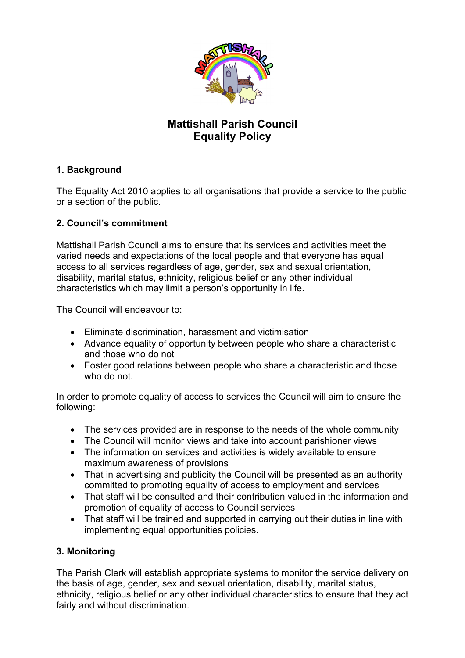

# **Mattishall Parish Council Equality Policy**

## **1. Background**

The Equality Act 2010 applies to all organisations that provide a service to the public or a section of the public.

### **2. Council's commitment**

Mattishall Parish Council aims to ensure that its services and activities meet the varied needs and expectations of the local people and that everyone has equal access to all services regardless of age, gender, sex and sexual orientation, disability, marital status, ethnicity, religious belief or any other individual characteristics which may limit a person's opportunity in life.

The Council will endeavour to:

- Eliminate discrimination, harassment and victimisation
- Advance equality of opportunity between people who share a characteristic and those who do not
- Foster good relations between people who share a characteristic and those who do not.

In order to promote equality of access to services the Council will aim to ensure the following:

- The services provided are in response to the needs of the whole community
- The Council will monitor views and take into account parishioner views
- The information on services and activities is widely available to ensure maximum awareness of provisions
- That in advertising and publicity the Council will be presented as an authority committed to promoting equality of access to employment and services
- That staff will be consulted and their contribution valued in the information and promotion of equality of access to Council services
- That staff will be trained and supported in carrying out their duties in line with implementing equal opportunities policies.

## **3. Monitoring**

The Parish Clerk will establish appropriate systems to monitor the service delivery on the basis of age, gender, sex and sexual orientation, disability, marital status, ethnicity, religious belief or any other individual characteristics to ensure that they act fairly and without discrimination.